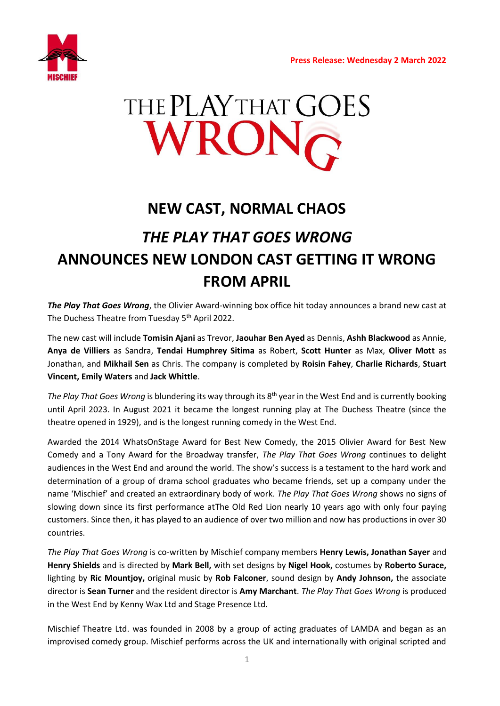

# THE PLAY THAT GOES WRON

### **NEW CAST, NORMAL CHAOS**

## *THE PLAY THAT GOES WRONG* **ANNOUNCES NEW LONDON CAST GETTING IT WRONG FROM APRIL**

*The Play That Goes Wrong*, the Olivier Award-winning box office hit today announces a brand new cast at The Duchess Theatre from Tuesday 5<sup>th</sup> April 2022.

The new cast will include **Tomisin Ajani** as Trevor, **Jaouhar Ben Ayed** as Dennis, **Ashh Blackwood** as Annie, **Anya de Villiers** as Sandra, **Tendai Humphrey Sitima** as Robert, **Scott Hunter** as Max, **Oliver Mott** as Jonathan, and **Mikhail Sen** as Chris. The company is completed by **Roisin Fahey**, **Charlie Richards**, **Stuart Vincent, Emily Waters** and **Jack Whittle**.

The Play That Goes Wrong is blundering its way through its 8<sup>th</sup> year in the West End and is currently booking until April 2023. In August 2021 it became the longest running play at The Duchess Theatre (since the theatre opened in 1929), and is the longest running comedy in the West End.

Awarded the 2014 WhatsOnStage Award for Best New Comedy, the 2015 Olivier Award for Best New Comedy and a Tony Award for the Broadway transfer, *The Play That Goes Wrong* continues to delight audiences in the West End and around the world. The show's success is a testament to the hard work and determination of a group of drama school graduates who became friends, set up a company under the name 'Mischief' and created an extraordinary body of work. *The Play That Goes Wrong* shows no signs of slowing down since its first performance atThe Old Red Lion nearly 10 years ago with only four paying customers. Since then, it has played to an audience of over two million and now has productions in over 30 countries.

*The Play That Goes Wrong* is co-written by Mischief company members **Henry Lewis, Jonathan Sayer** and **Henry Shields** and is directed by **Mark Bell,** with set designs by **Nigel Hook,** costumes by **Roberto Surace,**  lighting by **Ric Mountjoy,** original music by **Rob Falconer**, sound design by **Andy Johnson,** the associate director is **Sean Turner** and the resident director is **Amy Marchant**. *The Play That Goes Wrong* is produced in the West End by Kenny Wax Ltd and Stage Presence Ltd.

Mischief Theatre Ltd. was founded in 2008 by a group of acting graduates of LAMDA and began as an improvised comedy group. Mischief performs across the UK and internationally with original scripted and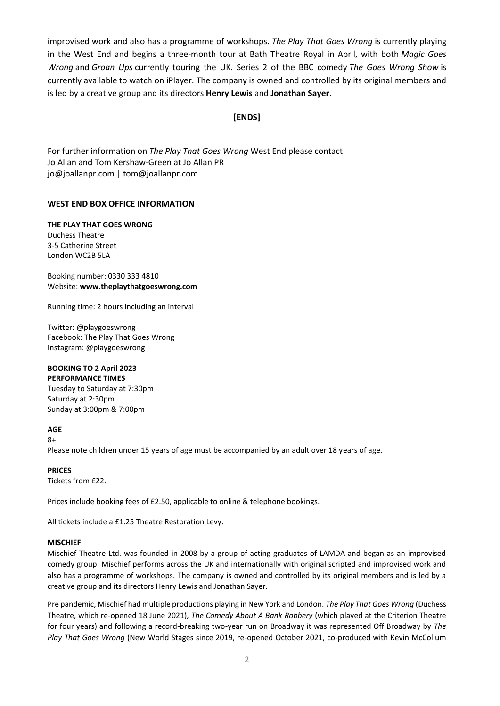improvised work and also has a programme of workshops. *The Play That Goes Wrong* is currently playing in the West End and begins a three-month tour at Bath Theatre Royal in April, with both *Magic Goes Wrong* and *Groan Ups* currently touring the UK. Series 2 of the BBC comedy *The Goes Wrong Show* is currently available to watch on iPlayer. The company is owned and controlled by its original members and is led by a creative group and its directors **Henry Lewis** and **Jonathan Sayer**.

#### **[ENDS]**

For further information on *The Play That Goes Wrong* West End please contact: Jo Allan and Tom Kershaw-Green at Jo Allan PR [jo@joallanpr.com](mailto:jo@joallanpr.com) [| tom@joallanpr.com](mailto:tom@joallanpr.com) 

#### **WEST END BOX OFFICE INFORMATION**

**THE PLAY THAT GOES WRONG**  Duchess Theatre 3-5 Catherine Street London WC2B 5LA

Booking number: 0330 333 4810 Website: **[www.theplaythatgoeswrong.com](http://www.theplaythatgoeswrong.com/)**

Running time: 2 hours including an interval

Twitter: @playgoeswrong Facebook: The Play That Goes Wrong Instagram: @playgoeswrong

#### **BOOKING TO 2 April 2023 PERFORMANCE TIMES**

Tuesday to Saturday at 7:30pm Saturday at 2:30pm Sunday at 3:00pm & 7:00pm

**AGE** 

8+ Please note children under 15 years of age must be accompanied by an adult over 18 years of age.

**PRICES**  Tickets from £22.

Prices include booking fees of £2.50, applicable to online & telephone bookings.

All tickets include a £1.25 Theatre Restoration Levy.

#### **MISCHIEF**

Mischief Theatre Ltd. was founded in 2008 by a group of acting graduates of LAMDA and began as an improvised comedy group. Mischief performs across the UK and internationally with original scripted and improvised work and also has a programme of workshops. The company is owned and controlled by its original members and is led by a creative group and its directors Henry Lewis and Jonathan Sayer.

Pre pandemic, Mischief had multiple productions playing in New York and London. *The Play That Goes Wrong* (Duchess Theatre, which re-opened 18 June 2021), *The Comedy About A Bank Robbery* (which played at the Criterion Theatre for four years) and following a record-breaking two-year run on Broadway it was represented Off Broadway by *The Play That Goes Wrong* (New World Stages since 2019, re-opened October 2021, co-produced with Kevin McCollum